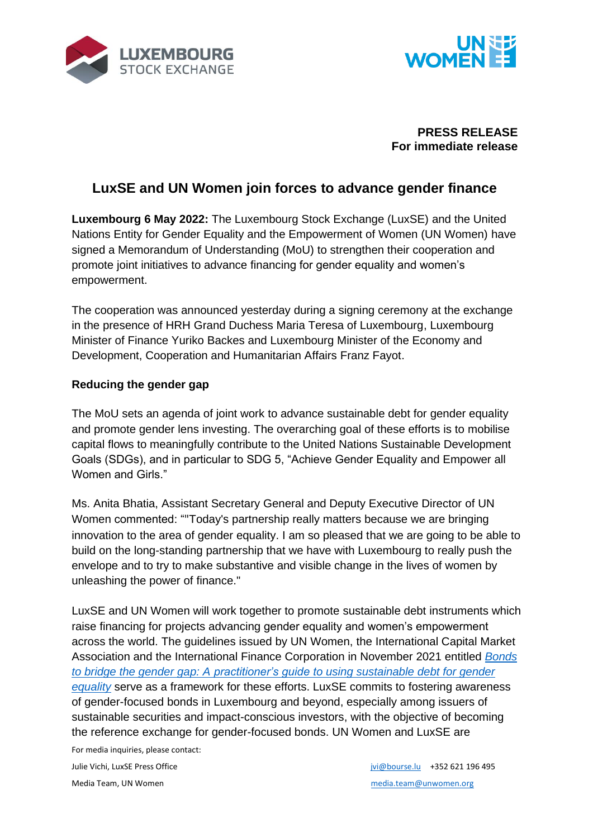



### **PRESS RELEASE For immediate release**

# **LuxSE and UN Women join forces to advance gender finance**

**Luxembourg 6 May 2022:** The Luxembourg Stock Exchange (LuxSE) and the United Nations Entity for Gender Equality and the Empowerment of Women (UN Women) have signed a Memorandum of Understanding (MoU) to strengthen their cooperation and promote joint initiatives to advance financing for gender equality and women's empowerment.

The cooperation was announced yesterday during a signing ceremony at the exchange in the presence of HRH Grand Duchess Maria Teresa of Luxembourg, Luxembourg Minister of Finance Yuriko Backes and Luxembourg Minister of the Economy and Development, Cooperation and Humanitarian Affairs Franz Fayot.

## **Reducing the gender gap**

The MoU sets an agenda of joint work to advance sustainable debt for gender equality and promote gender lens investing. The overarching goal of these efforts is to mobilise capital flows to meaningfully contribute to the United Nations Sustainable Development Goals (SDGs), and in particular to SDG 5, "Achieve Gender Equality and Empower all Women and Girls."

Ms. Anita Bhatia, Assistant Secretary General and Deputy Executive Director of UN Women commented: ""Today's partnership really matters because we are bringing innovation to the area of gender equality. I am so pleased that we are going to be able to build on the long-standing partnership that we have with Luxembourg to really push the envelope and to try to make substantive and visible change in the lives of women by unleashing the power of finance."

LuxSE and UN Women will work together to promote sustainable debt instruments which raise financing for projects advancing gender equality and women's empowerment across the world. The guidelines issued by UN Women, the International Capital Market Association and the International Finance Corporation in November 2021 entitled *[Bonds](https://www.unwomen.org/en/digital-library/publications/2021/11/bonds-to-bridge-the-gender-gap)  to bridge the gender gap: A [practitioner's guide to using sustainable debt for gender](https://www.unwomen.org/en/digital-library/publications/2021/11/bonds-to-bridge-the-gender-gap)  [equality](https://www.unwomen.org/en/digital-library/publications/2021/11/bonds-to-bridge-the-gender-gap)* serve as a framework for these efforts. LuxSE commits to fostering awareness of gender-focused bonds in Luxembourg and beyond, especially among issuers of sustainable securities and impact-conscious investors, with the objective of becoming the reference exchange for gender-focused bonds. UN Women and LuxSE are

For media inquiries, please contact: Julie Vichi, LuxSE Press Office *in the state of the state in the state in the state in the state in the state in the state in the state in the state in the state in the state in the state in the state in the state in the* 

Media Team, UN Women [media.team@unwomen.org](mailto:media.team@unwomen.org) media.team@unwomen.org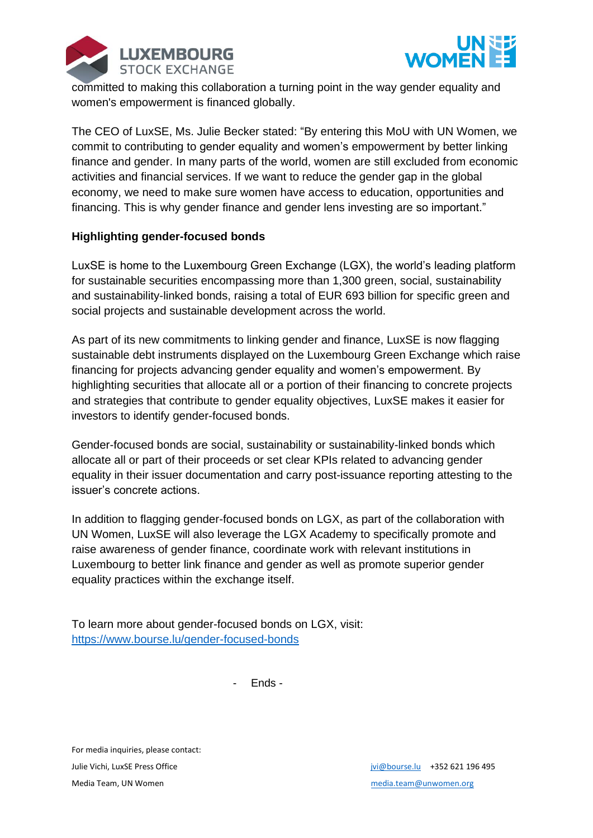



committed to making this collaboration a turning point in the way gender equality and women's empowerment is financed globally.

The CEO of LuxSE, Ms. Julie Becker stated: "By entering this MoU with UN Women, we commit to contributing to gender equality and women's empowerment by better linking finance and gender. In many parts of the world, women are still excluded from economic activities and financial services. If we want to reduce the gender gap in the global economy, we need to make sure women have access to education, opportunities and financing. This is why gender finance and gender lens investing are so important."

### **Highlighting gender-focused bonds**

LuxSE is home to the Luxembourg Green Exchange (LGX), the world's leading platform for sustainable securities encompassing more than 1,300 green, social, sustainability and sustainability-linked bonds, raising a total of EUR 693 billion for specific green and social projects and sustainable development across the world.

As part of its new commitments to linking gender and finance, LuxSE is now flagging sustainable debt instruments displayed on the Luxembourg Green Exchange which raise financing for projects advancing gender equality and women's empowerment. By highlighting securities that allocate all or a portion of their financing to concrete projects and strategies that contribute to gender equality objectives, LuxSE makes it easier for investors to identify gender-focused bonds.

Gender-focused bonds are social, sustainability or sustainability-linked bonds which allocate all or part of their proceeds or set clear KPIs related to advancing gender equality in their issuer documentation and carry post-issuance reporting attesting to the issuer's concrete actions.

In addition to flagging gender-focused bonds on LGX, as part of the collaboration with UN Women, LuxSE will also leverage the LGX Academy to specifically promote and raise awareness of gender finance, coordinate work with relevant institutions in Luxembourg to better link finance and gender as well as promote superior gender equality practices within the exchange itself.

To learn more about gender-focused bonds on LGX, visit: <https://www.bourse.lu/gender-focused-bonds>

- Ends -

For media inquiries, please contact: Julie Vichi, LuxSE Press Office *in the state of the state in the state in the state in the state in the state in the state in the state in the state in the state in the state in the state in the state in the state in the* Media Team, UN Women [media.team@unwomen.org](mailto:media.team@unwomen.org) media.team@unwomen.org